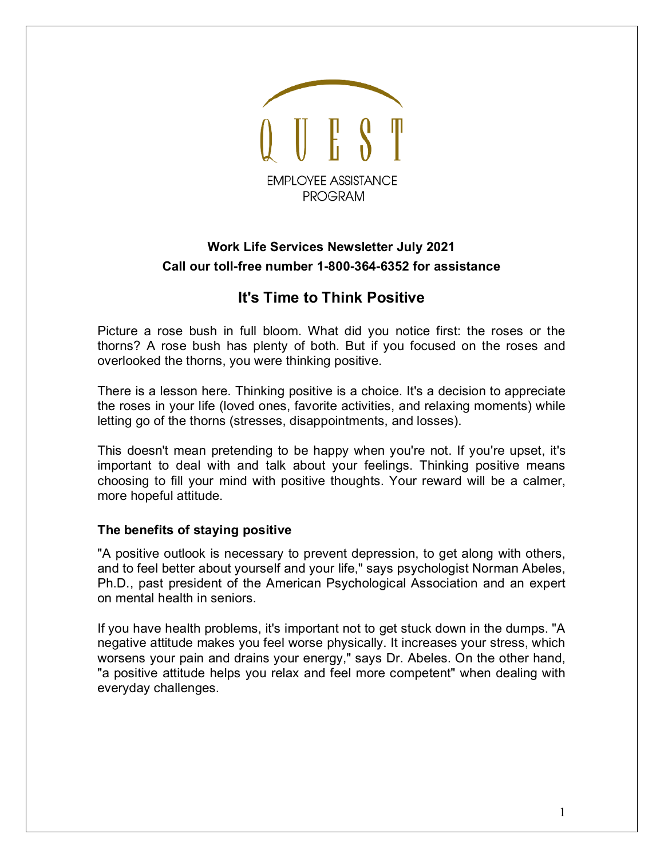

## **Work Life Services Newsletter July 2021 Call our toll-free number 1-800-364-6352 for assistance**

# **It's Time to Think Positive**

Picture a rose bush in full bloom. What did you notice first: the roses or the thorns? A rose bush has plenty of both. But if you focused on the roses and overlooked the thorns, you were thinking positive.

There is a lesson here. Thinking positive is a choice. It's a decision to appreciate the roses in your life (loved ones, favorite activities, and relaxing moments) while letting go of the thorns (stresses, disappointments, and losses).

This doesn't mean pretending to be happy when you're not. If you're upset, it's important to deal with and talk about your feelings. Thinking positive means choosing to fill your mind with positive thoughts. Your reward will be a calmer, more hopeful attitude.

### **The benefits of staying positive**

"A positive outlook is necessary to prevent depression, to get along with others, and to feel better about yourself and your life," says psychologist Norman Abeles, Ph.D., past president of the American Psychological Association and an expert on mental health in seniors.

If you have health problems, it's important not to get stuck down in the dumps. "A negative attitude makes you feel worse physically. It increases your stress, which worsens your pain and drains your energy," says Dr. Abeles. On the other hand, "a positive attitude helps you relax and feel more competent" when dealing with everyday challenges.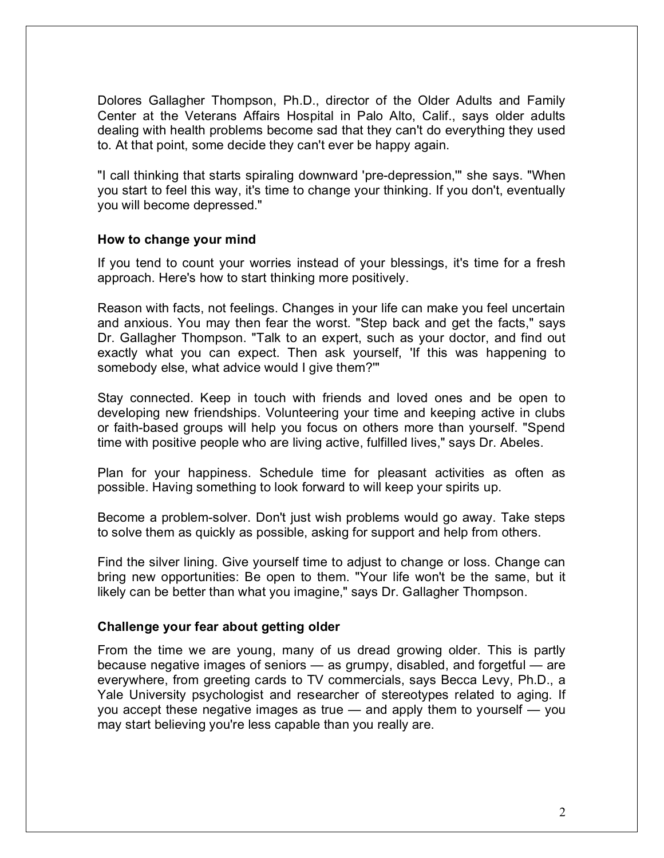Dolores Gallagher Thompson, Ph.D., director of the Older Adults and Family Center at the Veterans Affairs Hospital in Palo Alto, Calif., says older adults dealing with health problems become sad that they can't do everything they used to. At that point, some decide they can't ever be happy again.

"I call thinking that starts spiraling downward 'pre-depression,'" she says. "When you start to feel this way, it's time to change your thinking. If you don't, eventually you will become depressed."

#### **How to change your mind**

If you tend to count your worries instead of your blessings, it's time for a fresh approach. Here's how to start thinking more positively.

Reason with facts, not feelings. Changes in your life can make you feel uncertain and anxious. You may then fear the worst. "Step back and get the facts," says Dr. Gallagher Thompson. "Talk to an expert, such as your doctor, and find out exactly what you can expect. Then ask yourself, 'If this was happening to somebody else, what advice would I give them?'"

Stay connected. Keep in touch with friends and loved ones and be open to developing new friendships. Volunteering your time and keeping active in clubs or faith-based groups will help you focus on others more than yourself. "Spend time with positive people who are living active, fulfilled lives," says Dr. Abeles.

Plan for your happiness. Schedule time for pleasant activities as often as possible. Having something to look forward to will keep your spirits up.

Become a problem-solver. Don't just wish problems would go away. Take steps to solve them as quickly as possible, asking for support and help from others.

Find the silver lining. Give yourself time to adjust to change or loss. Change can bring new opportunities: Be open to them. "Your life won't be the same, but it likely can be better than what you imagine," says Dr. Gallagher Thompson.

### **Challenge your fear about getting older**

From the time we are young, many of us dread growing older. This is partly because negative images of seniors — as grumpy, disabled, and forgetful — are everywhere, from greeting cards to TV commercials, says Becca Levy, Ph.D., a Yale University psychologist and researcher of stereotypes related to aging. If you accept these negative images as true — and apply them to yourself — you may start believing you're less capable than you really are.